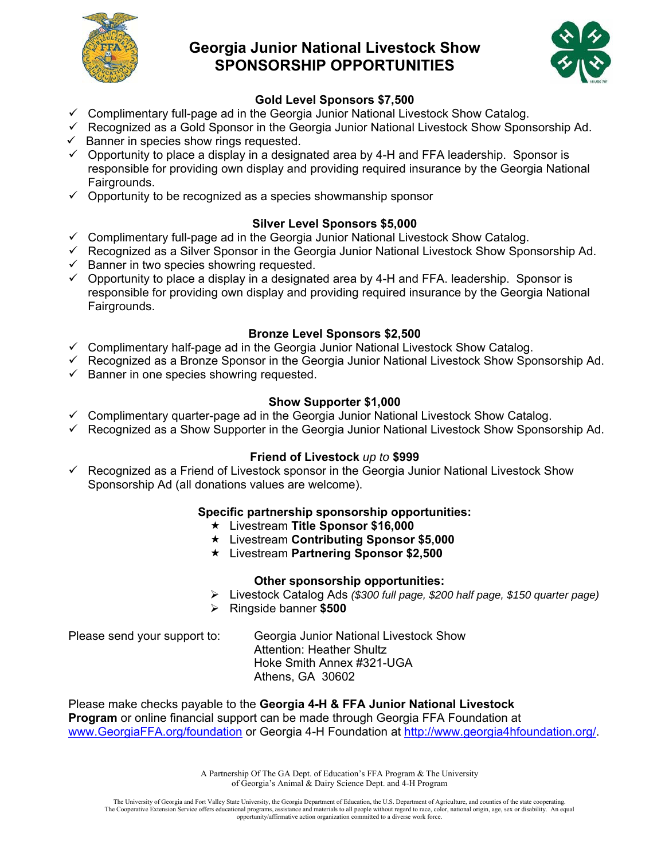

## **Georgia Junior National Livestock Show SPONSORSHIP OPPORTUNITIES**



## **Gold Level Sponsors \$7,500**

- $\checkmark$  Complimentary full-page ad in the Georgia Junior National Livestock Show Catalog.
- $\checkmark$  Recognized as a Gold Sponsor in the Georgia Junior National Livestock Show Sponsorship Ad.
- $\checkmark$  Banner in species show rings requested.
- $\checkmark$  Opportunity to place a display in a designated area by 4-H and FFA leadership. Sponsor is responsible for providing own display and providing required insurance by the Georgia National Fairgrounds.
- $\checkmark$  Opportunity to be recognized as a species showmanship sponsor

## **Silver Level Sponsors \$5,000**

- $\checkmark$  Complimentary full-page ad in the Georgia Junior National Livestock Show Catalog.
- Recognized as a Silver Sponsor in the Georgia Junior National Livestock Show Sponsorship Ad.
- $\checkmark$  Banner in two species showring requested.
- $\checkmark$  Opportunity to place a display in a designated area by 4-H and FFA. leadership. Sponsor is responsible for providing own display and providing required insurance by the Georgia National Fairgrounds.

## **Bronze Level Sponsors \$2,500**

- $\checkmark$  Complimentary half-page ad in the Georgia Junior National Livestock Show Catalog.
- Recognized as a Bronze Sponsor in the Georgia Junior National Livestock Show Sponsorship Ad.
- $\checkmark$  Banner in one species showring requested.

## **Show Supporter \$1,000**

- $\checkmark$  Complimentary quarter-page ad in the Georgia Junior National Livestock Show Catalog.
- $\checkmark$  Recognized as a Show Supporter in the Georgia Junior National Livestock Show Sponsorship Ad.

### **Friend of Livestock** *up to* **\$999**

 $\checkmark$  Recognized as a Friend of Livestock sponsor in the Georgia Junior National Livestock Show Sponsorship Ad (all donations values are welcome).

### **Specific partnership sponsorship opportunities:**

- Livestream **Title Sponsor \$16,000**
- Livestream **Contributing Sponsor \$5,000**
- Livestream **Partnering Sponsor \$2,500**

### **Other sponsorship opportunities:**

- Livestock Catalog Ads *(\$300 full page, \$200 half page, \$150 quarter page)*
- Ringside banner **\$500**

Please send your support to: Georgia Junior National Livestock Show Attention: Heather Shultz Hoke Smith Annex #321-UGA Athens, GA 30602

Please make checks payable to the **Georgia 4-H & FFA Junior National Livestock Program** or online financial support can be made through Georgia FFA Foundation at www.GeorgiaFFA.org/foundation or Georgia 4-H Foundation at http://www.georgia4hfoundation.org/.

> A Partnership Of The GA Dept. of Education's FFA Program & The University of Georgia's Animal & Dairy Science Dept. and 4-H Program